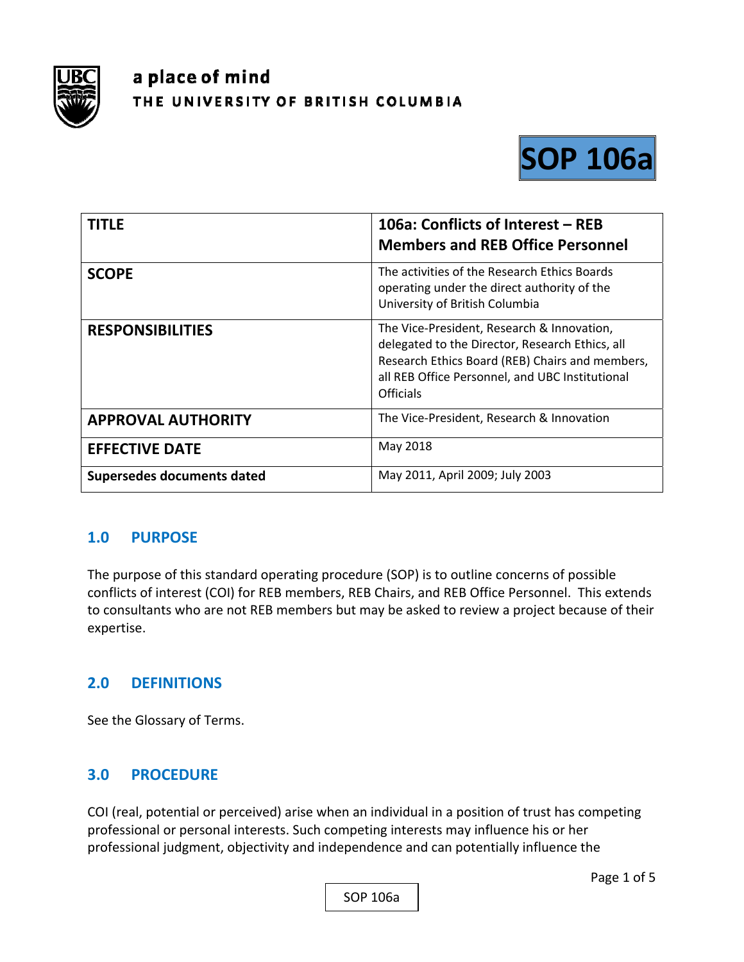

# a place of mind THE UNIVERSITY OF BRITISH COLUMBIA



| <b>TITLE</b>               | 106a: Conflicts of Interest - REB<br><b>Members and REB Office Personnel</b>                                                                                                                                            |
|----------------------------|-------------------------------------------------------------------------------------------------------------------------------------------------------------------------------------------------------------------------|
| <b>SCOPE</b>               | The activities of the Research Ethics Boards<br>operating under the direct authority of the<br>University of British Columbia                                                                                           |
| <b>RESPONSIBILITIES</b>    | The Vice-President, Research & Innovation,<br>delegated to the Director, Research Ethics, all<br>Research Ethics Board (REB) Chairs and members,<br>all REB Office Personnel, and UBC Institutional<br><b>Officials</b> |
| <b>APPROVAL AUTHORITY</b>  | The Vice-President, Research & Innovation                                                                                                                                                                               |
| <b>EFFECTIVE DATE</b>      | May 2018                                                                                                                                                                                                                |
| Supersedes documents dated | May 2011, April 2009; July 2003                                                                                                                                                                                         |

# **1.0 PURPOSE**

The purpose of this standard operating procedure (SOP) is to outline concerns of possible conflicts of interest (COI) for REB members, REB Chairs, and REB Office Personnel. This extends to consultants who are not REB members but may be asked to review a project because of their expertise.

# **2.0 DEFINITIONS**

See the Glossary of Terms.

## **3.0 PROCEDURE**

COI (real, potential or perceived) arise when an individual in a position of trust has competing professional or personal interests. Such competing interests may influence his or her professional judgment, objectivity and independence and can potentially influence the

SOP 106a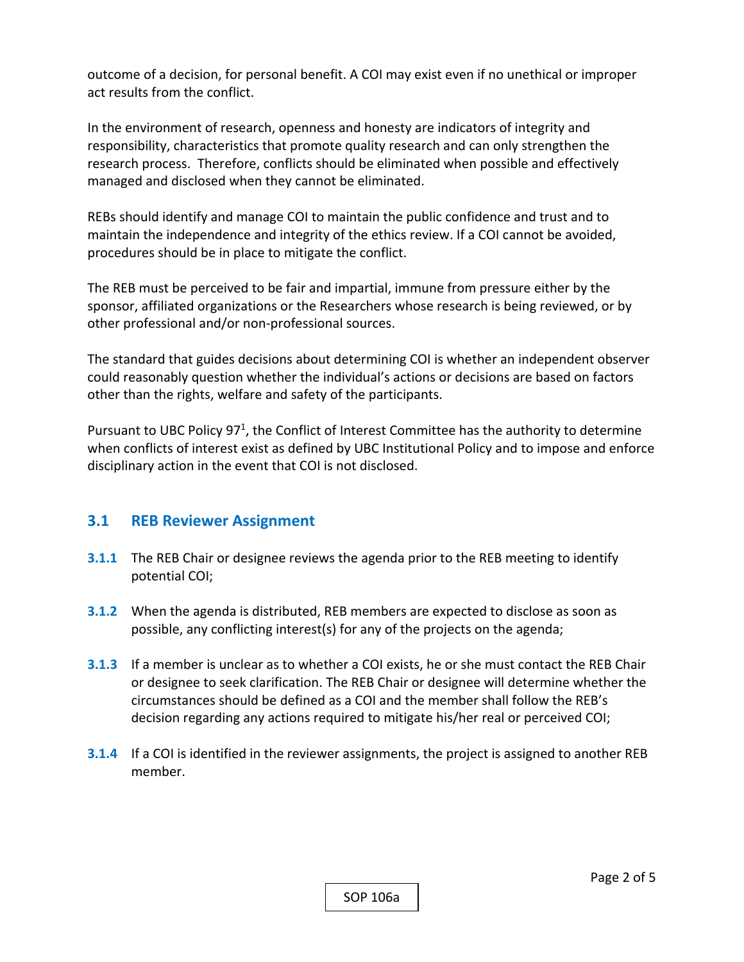outcome of a decision, for personal benefit. A COI may exist even if no unethical or improper act results from the conflict.

In the environment of research, openness and honesty are indicators of integrity and responsibility, characteristics that promote quality research and can only strengthen the research process. Therefore, conflicts should be eliminated when possible and effectively managed and disclosed when they cannot be eliminated.

REBs should identify and manage COI to maintain the public confidence and trust and to maintain the independence and integrity of the ethics review. If a COI cannot be avoided, procedures should be in place to mitigate the conflict.

The REB must be perceived to be fair and impartial, immune from pressure either by the sponsor, affiliated organizations or the Researchers whose research is being reviewed, or by other professional and/or non‐professional sources.

The standard that guides decisions about determining COI is whether an independent observer could reasonably question whether the individual's actions or decisions are based on factors other than the rights, welfare and safety of the participants.

Pursuant to UBC Policy  $97<sup>1</sup>$ , the Conflict of Interest Committee has the authority to determine when conflicts of interest exist as defined by UBC Institutional Policy and to impose and enforce disciplinary action in the event that COI is not disclosed.

## **3.1 REB Reviewer Assignment**

- **3.1.1** The REB Chair or designee reviews the agenda prior to the REB meeting to identify potential COI;
- **3.1.2** When the agenda is distributed, REB members are expected to disclose as soon as possible, any conflicting interest(s) for any of the projects on the agenda;
- **3.1.3**  If a member is unclear as to whether a COI exists, he or she must contact the REB Chair or designee to seek clarification. The REB Chair or designee will determine whether the circumstances should be defined as a COI and the member shall follow the REB's decision regarding any actions required to mitigate his/her real or perceived COI;
- **3.1.4**  If a COI is identified in the reviewer assignments, the project is assigned to another REB member.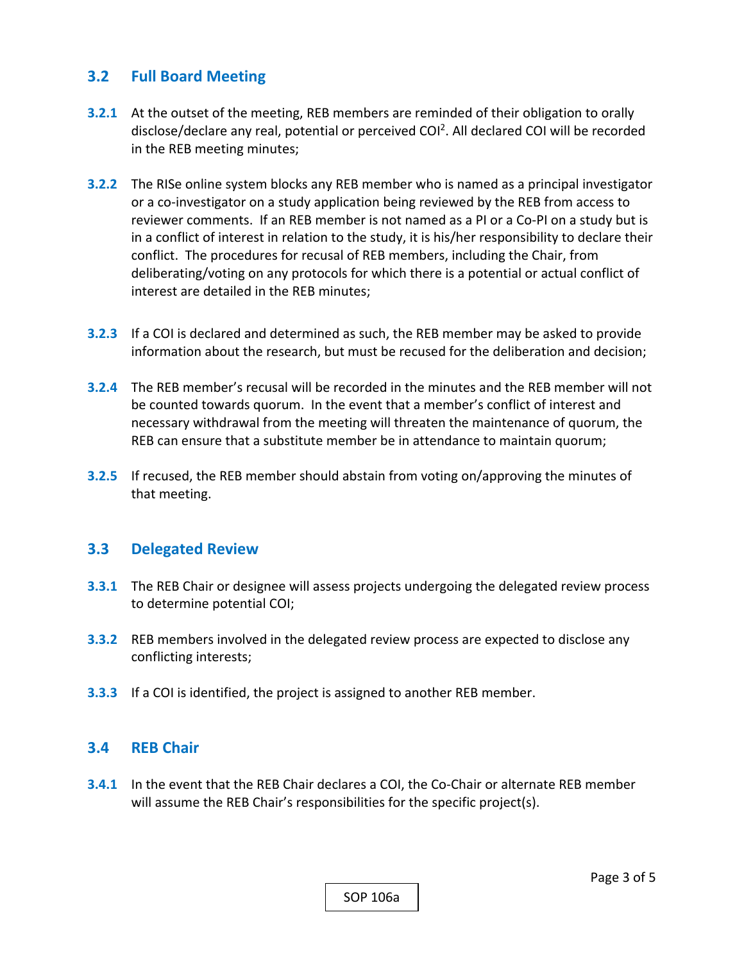## **3.2 Full Board Meeting**

- **3.2.1** At the outset of the meeting, REB members are reminded of their obligation to orally disclose/declare any real, potential or perceived  $COI<sup>2</sup>$ . All declared COI will be recorded in the REB meeting minutes;
- **3.2.2** The RISe online system blocks any REB member who is named as a principal investigator or a co‐investigator on a study application being reviewed by the REB from access to reviewer comments. If an REB member is not named as a PI or a Co‐PI on a study but is in a conflict of interest in relation to the study, it is his/her responsibility to declare their conflict. The procedures for recusal of REB members, including the Chair, from deliberating/voting on any protocols for which there is a potential or actual conflict of interest are detailed in the REB minutes;
- **3.2.3**  If a COI is declared and determined as such, the REB member may be asked to provide information about the research, but must be recused for the deliberation and decision;
- **3.2.4**  The REB member's recusal will be recorded in the minutes and the REB member will not be counted towards quorum. In the event that a member's conflict of interest and necessary withdrawal from the meeting will threaten the maintenance of quorum, the REB can ensure that a substitute member be in attendance to maintain quorum;
- **3.2.5**  If recused, the REB member should abstain from voting on/approving the minutes of that meeting.

### **3.3 Delegated Review**

- **3.3.1**  The REB Chair or designee will assess projects undergoing the delegated review process to determine potential COI;
- **3.3.2**  REB members involved in the delegated review process are expected to disclose any conflicting interests;
- **3.3.3**  If a COI is identified, the project is assigned to another REB member.

#### **3.4 REB Chair**

**3.4.1** In the event that the REB Chair declares a COI, the Co-Chair or alternate REB member will assume the REB Chair's responsibilities for the specific project(s).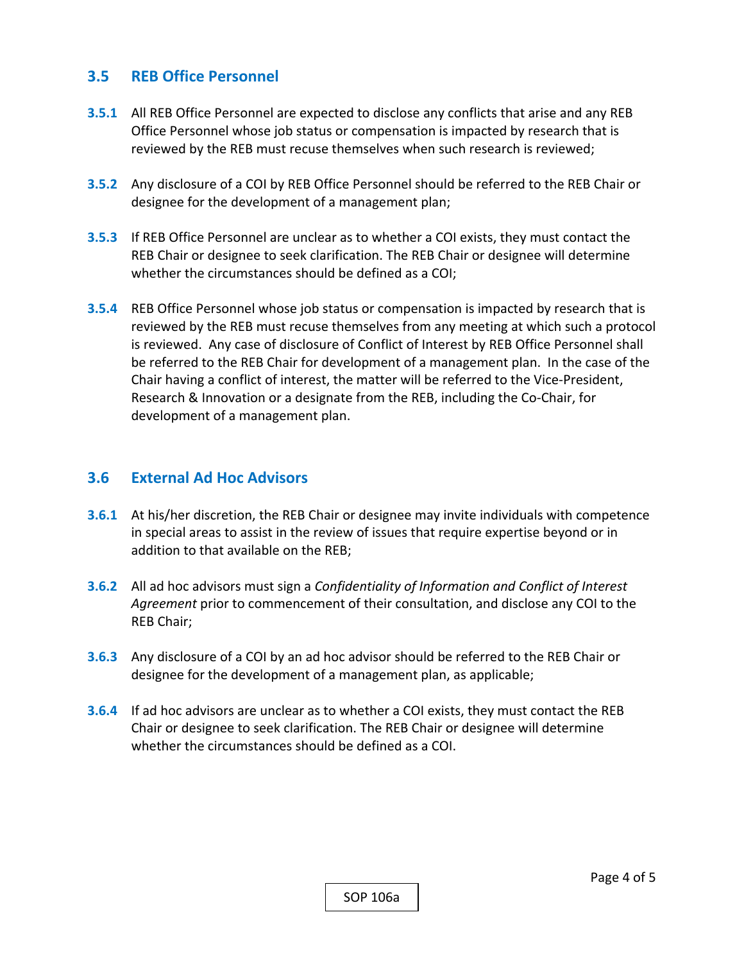## **3.5 REB Office Personnel**

- **3.5.1**  All REB Office Personnel are expected to disclose any conflicts that arise and any REB Office Personnel whose job status or compensation is impacted by research that is reviewed by the REB must recuse themselves when such research is reviewed;
- **3.5.2**  Any disclosure of a COI by REB Office Personnel should be referred to the REB Chair or designee for the development of a management plan;
- **3.5.3**  If REB Office Personnel are unclear as to whether a COI exists, they must contact the REB Chair or designee to seek clarification. The REB Chair or designee will determine whether the circumstances should be defined as a COI;
- **3.5.4**  REB Office Personnel whose job status or compensation is impacted by research that is reviewed by the REB must recuse themselves from any meeting at which such a protocol is reviewed. Any case of disclosure of Conflict of Interest by REB Office Personnel shall be referred to the REB Chair for development of a management plan. In the case of the Chair having a conflict of interest, the matter will be referred to the Vice‐President, Research & Innovation or a designate from the REB, including the Co‐Chair, for development of a management plan.

## **3.6 External Ad Hoc Advisors**

- **3.6.1**  At his/her discretion, the REB Chair or designee may invite individuals with competence in special areas to assist in the review of issues that require expertise beyond or in addition to that available on the REB;
- **3.6.2** All ad hoc advisors must sign a *Confidentiality of Information and Conflict of Interest Agreement* prior to commencement of their consultation, and disclose any COI to the REB Chair;
- **3.6.3**  Any disclosure of a COI by an ad hoc advisor should be referred to the REB Chair or designee for the development of a management plan, as applicable;
- **3.6.4**  If ad hoc advisors are unclear as to whether a COI exists, they must contact the REB Chair or designee to seek clarification. The REB Chair or designee will determine whether the circumstances should be defined as a COI.